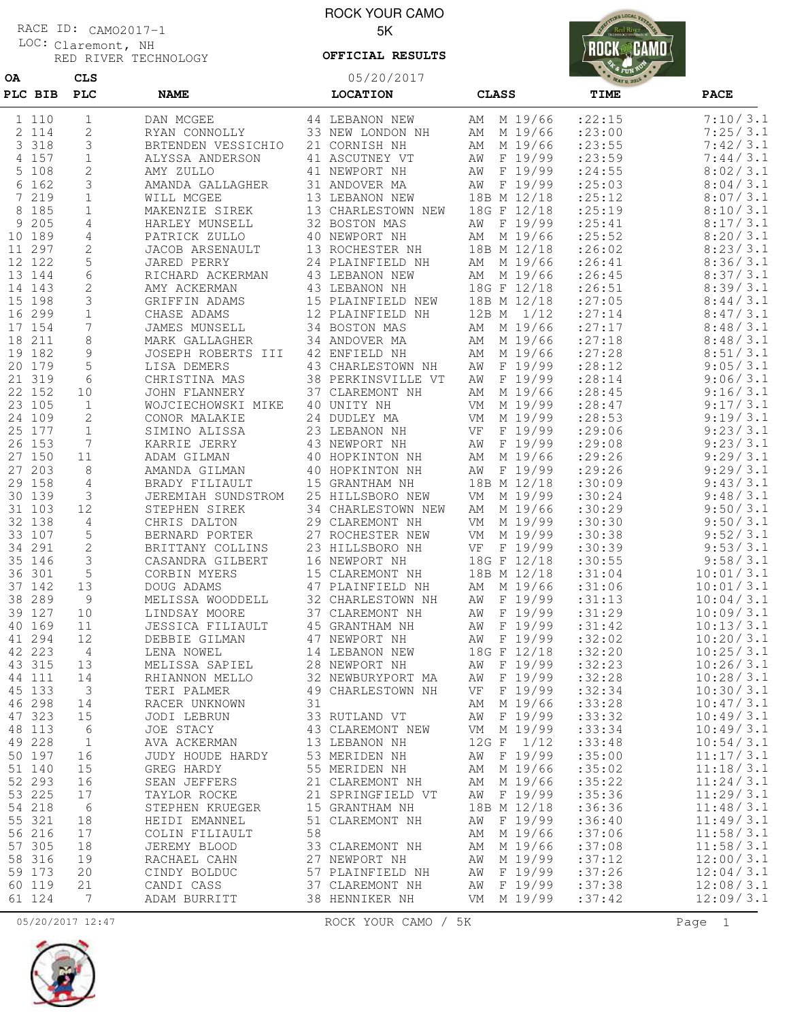## Claremont, NH LOC: RACE ID: CAMO2017-1

**OA CLS**

RED RIVER TECHNOLOGY

## ROCK YOUR CAMO 5K

**OFFICIAL RESULTS**

05/20/2017



| PLC BIB  | PLC          | <b>NAME</b>        |    | <b>LOCATION</b>    | <b>CLASS</b>  | TIME    | <b>PACE</b> |
|----------|--------------|--------------------|----|--------------------|---------------|---------|-------------|
| 1 110    | 1            | DAN MCGEE          |    | 44 LEBANON NEW     | AM M 19/66    | : 22:15 | 7:10/3.1    |
| 2 114    | 2            | RYAN CONNOLLY      |    | 33 NEW LONDON NH   | AM M 19/66    | : 23:00 | 7:25/3.1    |
| 3 3 1 8  | 3            | BRTENDEN VESSICHIO |    | 21 CORNISH NH      | AM M 19/66    | : 23:55 | 7:42/3.1    |
| 4 157    | 1            | ALYSSA ANDERSON    |    | 41 ASCUTNEY VT     | F 19/99<br>ΑW | : 23:59 | 7:44/3.1    |
| 5 108    | 2            | AMY ZULLO          |    | 41 NEWPORT NH      | AW F 19/99    | : 24:55 | 8:02/3.1    |
| 6 162    | 3            | AMANDA GALLAGHER   |    | 31 ANDOVER MA      | AW F 19/99    | : 25:03 | 8:04/3.1    |
| 7 219    | $\mathbf{1}$ | WILL MCGEE         |    | 13 LEBANON NEW     | 18B M 12/18   | : 25:12 | 8:07/3.1    |
| 8 185    | 1            | MAKENZIE SIREK     |    | 13 CHARLESTOWN NEW | 18G F 12/18   | : 25:19 | 8:10/3.1    |
| 205<br>9 | 4            | HARLEY MUNSELL     |    | 32 BOSTON MAS      | F 19/99<br>AW | : 25:41 | 8:17/3.1    |
| 10 189   | 4            | PATRICK ZULLO      |    | 40 NEWPORT NH      | AM M 19/66    | : 25:52 | 8:20/3.1    |
| 11 297   | 2            | JACOB ARSENAULT    |    | 13 ROCHESTER NH    | 18B M 12/18   | :26:02  | 8:23/3.1    |
| 12 122   | 5            | JARED PERRY        |    | 24 PLAINFIELD NH   | AM M 19/66    | : 26:41 | 8:36/3.1    |
| 13 144   | 6            | RICHARD ACKERMAN   |    | 43 LEBANON NEW     | AM M 19/66    | : 26:45 | 8:37/3.1    |
| 14 143   | 2            | AMY ACKERMAN       |    | 43 LEBANON NH      | 18G F 12/18   | : 26:51 | 8:39/3.1    |
| 15 198   | 3            | GRIFFIN ADAMS      |    | 15 PLAINFIELD NEW  | 18B M 12/18   | : 27:05 | 8:44/3.1    |
| 16 299   | 1            | CHASE ADAMS        |    | 12 PLAINFIELD NH   | 12B M 1/12    | : 27:14 | 8:47/3.1    |
| 17 154   | 7            | JAMES MUNSELL      |    | 34 BOSTON MAS      | M 19/66<br>AM | : 27:17 | 8:48/3.1    |
| 18 211   | 8            | MARK GALLAGHER     |    | 34 ANDOVER MA      | AM M 19/66    | : 27:18 | 8:48/3.1    |
| 19 182   | 9            | JOSEPH ROBERTS III |    | 42 ENFIELD NH      | AM M 19/66    | : 27:28 | 8:51/3.1    |
| 20 179   | 5            | LISA DEMERS        |    | 43 CHARLESTOWN NH  | AW F 19/99    | :28:12  | 9:05/3.1    |
| 21 319   | 6            | CHRISTINA MAS      |    | 38 PERKINSVILLE VT | AW F 19/99    | : 28:14 | 9:06/3.1    |
| 22 152   | 10           | JOHN FLANNERY      |    | 37 CLAREMONT NH    | AM M 19/66    | : 28:45 | 9:16/3.1    |
| 23 105   | $\mathbf{1}$ | WOJCIECHOWSKI MIKE |    | 40 UNITY NH        | M 19/99<br>VM | : 28:47 | 9:17/3.1    |
| 24 109   | 2            | CONOR MALAKIE      |    | 24 DUDLEY MA       | M 19/99<br>VM | : 28:53 | 9:19/3.1    |
| 25 177   | $\mathbf 1$  | SIMINO ALISSA      |    | 23 LEBANON NH      | F 19/99<br>VF | : 29:06 | 9:23/3.1    |
| 26 153   | 7            | KARRIE JERRY       |    | 43 NEWPORT NH      | F 19/99<br>ΑW | : 29:08 | 9:23/3.1    |
| 27 150   | 11           | ADAM GILMAN        |    | 40 HOPKINTON NH    | M 19/66<br>AM | : 29:26 | 9:29/3.1    |
| 27 203   | 8            | AMANDA GILMAN      |    | 40 HOPKINTON NH    | AW F 19/99    | : 29:26 | 9:29/3.1    |
| 29 158   | 4            | BRADY FILIAULT     |    | 15 GRANTHAM NH     | 18B M 12/18   | :30:09  | 9:43/3.1    |
| 30 139   | 3            | JEREMIAH SUNDSTROM |    | 25 HILLSBORO NEW   | VM M 19/99    | :30:24  | 9:48/3.1    |
| 31 103   | 12           | STEPHEN SIREK      |    | 34 CHARLESTOWN NEW | AM M 19/66    | :30:29  | 9:50/3.1    |
| 32 138   | 4            | CHRIS DALTON       |    | 29 CLAREMONT NH    | M 19/99<br>VM | :30:30  | 9:50/3.1    |
| 33 107   | 5            | BERNARD PORTER     |    | 27 ROCHESTER NEW   | M 19/99<br>VM | :30:38  | 9:52/3.1    |
| 34 291   | $\mathbf{2}$ | BRITTANY COLLINS   |    | 23 HILLSBORO NH    | F 19/99<br>VF | :30:39  | 9:53/3.1    |
| 35 146   | 3            | CASANDRA GILBERT   |    | 16 NEWPORT NH      | 18G F 12/18   | :30:55  | 9:58/3.1    |
| 36 301   | 5            | CORBIN MYERS       |    | 15 CLAREMONT NH    | 18B M 12/18   | :31:04  | 10:01/3.1   |
| 37 142   | 13           | DOUG ADAMS         |    | 47 PLAINFIELD NH   | AM M 19/66    | :31:06  | 10:01/3.1   |
| 38 289   | 9            | MELISSA WOODDELL   |    | 32 CHARLESTOWN NH  | AW F 19/99    | :31:13  | 10:04/3.1   |
| 39 127   | 10           | LINDSAY MOORE      |    | 37 CLAREMONT NH    | ΑW<br>F 19/99 | :31:29  | 10:09/3.1   |
| 40 169   | 11           | JESSICA FILIAULT   |    | 45 GRANTHAM NH     | F 19/99<br>ΑW | :31:42  | 10:13/3.1   |
| 41 294   | 12           | DEBBIE GILMAN      |    | 47 NEWPORT NH      | AW F 19/99    | :32:02  | 10:20/3.1   |
| 42 223   | 4            | LENA NOWEL         |    | 14 LEBANON NEW     | 18G F 12/18   | :32:20  | 10:25/3.1   |
| 43 315   | 13           | MELISSA SAPIEL     |    | 28 NEWPORT NH      | AW F 19/99    | :32:23  | 10:26/3.1   |
| 44 111   | 14           | RHIANNON MELLO     |    | 32 NEWBURYPORT MA  | AW F 19/99    | :32:28  | 10:28/3.1   |
| 45 133   | 3            | TERI PALMER        |    | 49 CHARLESTOWN NH  | F 19/99<br>VF | :32:34  | 10:30/3.1   |
| 46 298   | 14           | RACER UNKNOWN      | 31 |                    | M 19/66<br>AΜ | :33:28  | 10:47/3.1   |
| 47 323   | 15           | JODI LEBRUN        |    | 33 RUTLAND VT      | AW F 19/99    | :33:32  | 10:49/3.1   |
| 48 113   | 6            | JOE STACY          |    | 43 CLAREMONT NEW   | VM M 19/99    | :33:34  | 10:49/3.1   |
| 49 228   | $\mathbf{1}$ | AVA ACKERMAN       |    | 13 LEBANON NH      | 12G F 1/12    | : 33:48 | 10:54/3.1   |
| 50 197   | 16           | JUDY HOUDE HARDY   |    | 53 MERIDEN NH      | AW F 19/99    | :35:00  | 11:17/3.1   |
| 51 140   | 15           | GREG HARDY         |    | 55 MERIDEN NH      | AM M 19/66    | :35:02  | 11:18/3.1   |
| 52 293   | 16           | SEAN JEFFERS       |    | 21 CLAREMONT NH    | AM M 19/66    | :35:22  | 11:24/3.1   |
| 53 225   | 17           | TAYLOR ROCKE       |    | 21 SPRINGFIELD VT  | AW F 19/99    | :35:36  | 11:29/3.1   |
| 54 218   | 6            | STEPHEN KRUEGER    |    | 15 GRANTHAM NH     | 18B M 12/18   | :36:36  | 11:48/3.1   |
| 55 321   | 18           | HEIDI EMANNEL      |    | 51 CLAREMONT NH    | AW F 19/99    | :36:40  | 11:49/3.1   |
| 56 216   | 17           | COLIN FILIAULT     | 58 |                    | AM M 19/66    | :37:06  | 11:58/3.1   |
| 57 305   | 18           | JEREMY BLOOD       |    | 33 CLAREMONT NH    | AM M 19/66    | :37:08  | 11:58/3.1   |
| 58 316   | 19           | RACHAEL CAHN       |    | 27 NEWPORT NH      | AW M 19/99    | :37:12  | 12:00/3.1   |
| 59 173   | 20           | CINDY BOLDUC       |    | 57 PLAINFIELD NH   | AW F 19/99    | :37:26  | 12:04/3.1   |
| 60 119   | 21           | CANDI CASS         |    | 37 CLAREMONT NH    | AW F 19/99    | :37:38  | 12:08/3.1   |
| 61 124   | 7            | ADAM BURRITT       |    | 38 HENNIKER NH     | VM M 19/99    | :37:42  | 12:09/3.1   |



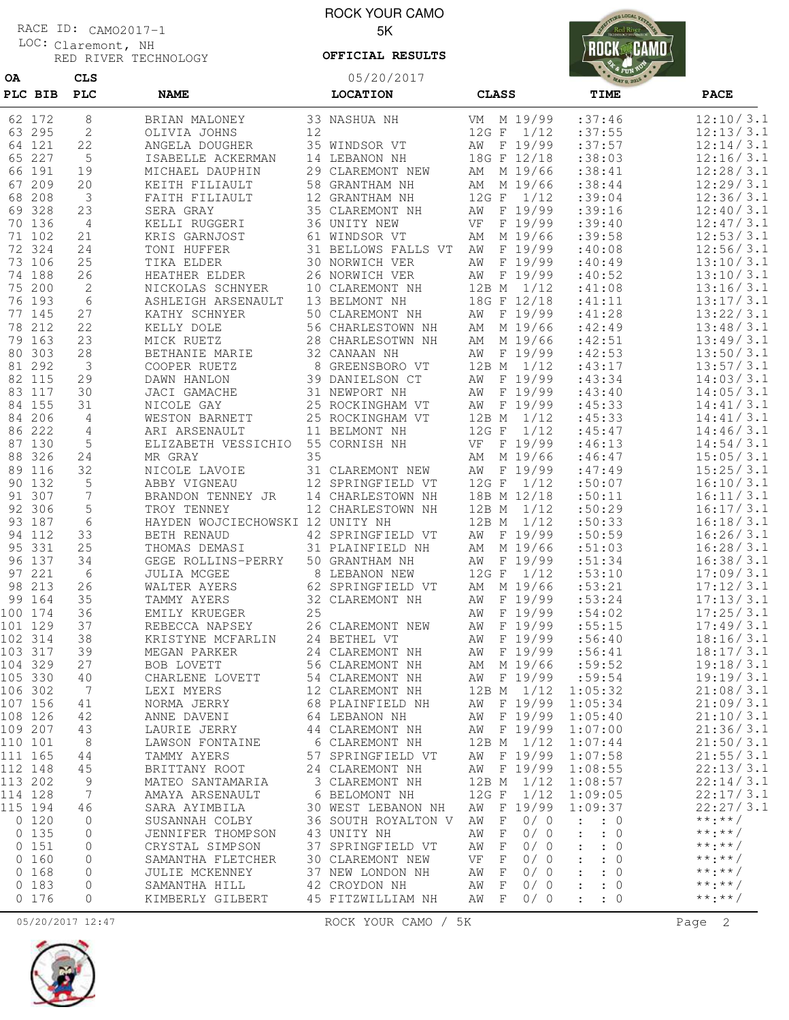Claremont, NH LOC: RACE ID: CAMO2017-1

**OA CLS**

RED RIVER TECHNOLOGY

ROCK YOUR CAMO 5K

05/20/2017 **OFFICIAL RESULTS**



| 12:10/3.1<br>VM M 19/99<br>:37:46<br>62 172<br>8<br>33 NASHUA NH<br>BRIAN MALONEY<br>12:13/3.1<br>2<br>12<br>1/12<br>:37:55<br>63 295<br>OLIVIA JOHNS<br>12G F<br>22<br>35 WINDSOR VT<br>AW F 19/99<br>:37:57<br>12:14/3.1<br>64 121<br>ANGELA DOUGHER<br>:38:03<br>65 227<br>5<br>14 LEBANON NH<br>18G F 12/18<br>12:16/3.1<br>ISABELLE ACKERMAN<br>66 191<br>:38:41<br>12:28/3.1<br>19<br>29 CLAREMONT NEW<br>AM M 19/66<br>MICHAEL DAUPHIN<br>67 209<br>20<br>:38:44<br>12:29/3.1<br>58 GRANTHAM NH<br>AM M 19/66<br>KEITH FILIAULT<br>68 208<br>$\mathcal{E}$<br>:39:04<br>12:36/3.1<br>FAITH FILIAULT<br>12 GRANTHAM NH<br>12G F<br>1/12<br>69 328<br>F 19/99<br>:39:16<br>12:40/3.1<br>23<br>SERA GRAY<br>35 CLAREMONT NH<br>ΑW<br>12:47/3.1<br>F 19/99<br>:39:40<br>70 136<br>$\overline{4}$<br>KELLI RUGGERI<br>36 UNITY NEW<br>VF<br>:39:58<br>12:53/3.1<br>71 102<br>21<br>61 WINDSOR VT<br>M 19/66<br>KRIS GARNJOST<br>AΜ<br>72 324<br>24<br>F 19/99<br>:40:08<br>12:56/3.1<br>TONI HUFFER<br>31 BELLOWS FALLS VT<br>AW<br>25<br>F 19/99<br>13:10/3.1<br>73 106<br>TIKA ELDER<br>30 NORWICH VER<br>:40:49<br>AW<br>F 19/99<br>:40:52<br>13:10/3.1<br>74 188<br>26<br>HEATHER ELDER<br>26 NORWICH VER<br>ΑW<br>75 200<br>2<br>10 CLAREMONT NH<br>12B M<br>1/12<br>:41:08<br>13:16/3.1<br>NICKOLAS SCHNYER<br>$6\,$<br>18G F 12/18<br>13:17/3.1<br>76 193<br>13 BELMONT NH<br>:41:11<br>ASHLEIGH ARSENAULT<br>AW F 19/99<br>13:22/3.1<br>77 145<br>27<br>:41:28<br>KATHY SCHNYER<br>50 CLAREMONT NH<br>22<br>:42:49<br>13:48/3.1<br>78 212<br>M 19/66<br>KELLY DOLE<br>56 CHARLESTOWN NH<br>AΜ<br>13:49/3.1<br>79 163<br>23<br>:42:51<br>MICK RUETZ<br>28 CHARLESOTWN NH<br>M 19/66<br>AM<br>80 303<br>F 19/99<br>13:50/3.1<br>28<br>BETHANIE MARIE<br>32 CANAAN NH<br>:42:53<br>AW<br>$\mathcal{E}$<br>13:57/3.1<br>81 292<br>8 GREENSBORO VT<br>12B M 1/12<br>:43:17<br>COOPER RUETZ<br>29<br>14:03/3.1<br>82 115<br>39 DANIELSON CT<br>ΑW<br>F 19/99<br>:43:34<br>DAWN HANLON<br>83 117<br>30<br>JACI GAMACHE<br>31 NEWPORT NH<br>F 19/99<br>:43:40<br>14:05/3.1<br>ΑW<br>84 155<br>31<br>25 ROCKINGHAM VT<br>F 19/99<br>:45:33<br>14:41/3.1<br>NICOLE GAY<br>AW<br>84 206<br>4<br>WESTON BARNETT<br>25 ROCKINGHAM VT<br>12B M<br>1/12<br>:45:33<br>14:41/3.1<br>86 222<br>:45:47<br>14:46/3.1<br>4<br>ARI ARSENAULT<br>11 BELMONT NH<br>$12G$ F<br>1/12<br>5<br>14:54/3.1<br>87 130<br>ELIZABETH VESSICHIO<br>55 CORNISH NH<br>VF<br>F 19/99<br>:46:13<br>88 326<br>15:05/3.1<br>24<br>MR GRAY<br>35<br>M 19/66<br>:46:47<br>AΜ<br>32<br>15:25/3.1<br>89 116<br>NICOLE LAVOIE<br>31 CLAREMONT NEW<br>F 19/99<br>:47:49<br>ΑW<br>90 132<br>5<br>12 SPRINGFIELD VT<br>12G F<br>1/12<br>:50:07<br>16:10/3.1<br>ABBY VIGNEAU<br>91 307<br>7<br>18B M 12/18<br>:50:11<br>16:11/3.1<br>BRANDON TENNEY JR<br>14 CHARLESTOWN NH<br>5<br>92 306<br>:50:29<br>16:17/3.1<br>TROY TENNEY<br>12 CHARLESTOWN NH<br>12B M<br>1/12<br>:50:33<br>16:18/3.1<br>93 187<br>6<br>HAYDEN WOJCIECHOWSKI<br>12 UNITY NH<br>12B M<br>1/12<br>16:26/3.1<br>94 112<br>33<br>BETH RENAUD<br>42 SPRINGFIELD VT<br>AW<br>F 19/99<br>:50:59<br>95 331<br>25<br>16:28/3.1<br>THOMAS DEMASI<br>31 PLAINFIELD NH<br>M 19/66<br>:51:03<br>AM<br>96 137<br>16:38/3.1<br>34<br>F 19/99<br>:51:34<br>GEGE ROLLINS-PERRY<br>50 GRANTHAM NH<br>AW<br>97 221<br>6<br>12G F<br>1/12<br>:53:10<br>17:09/3.1<br>JULIA MCGEE<br>8 LEBANON NEW<br>AM M 19/66<br>: 53:21<br>17:12/3.1<br>98 213<br>26<br>WALTER AYERS<br>62 SPRINGFIELD VT<br>35<br>:53:24<br>17:13/3.1<br>99 164<br>TAMMY AYERS<br>32 CLAREMONT NH<br>F 19/99<br>AW<br>100 174<br>36<br>25<br>F 19/99<br>:54:02<br>17:25/3.1<br>EMILY KRUEGER<br>ΑW<br>17:49/3.1<br>101 129<br>37<br>REBECCA NAPSEY<br>26 CLAREMONT NEW<br>F 19/99<br>: 55:15<br>ΑW<br>18:16/3.1<br>102 314<br>38<br>KRISTYNE MCFARLIN<br>24 BETHEL VT<br>F 19/99<br>:56:40<br>AW<br>18:17/3.1<br>103 317<br>39<br>F 19/99<br>:56:41<br>MEGAN PARKER<br>24 CLAREMONT NH<br>ΑW<br>104 329<br>27<br>BOB LOVETT<br>AM M 19/66<br>:59:52<br>56 CLAREMONT NH<br>19:19/3.1<br>105 330<br>AW F 19/99<br>:59:54<br>40<br>CHARLENE LOVETT<br>54 CLAREMONT NH<br>106 302<br>7<br>1:05:32<br>21:08/3.1<br>LEXI MYERS<br>12 CLAREMONT NH<br>12B M 1/12<br>107 156<br>F 19/99<br>1:05:34<br>21:09/3.1<br>41<br>NORMA JERRY<br>68 PLAINFIELD NH<br>ΑW<br>108 126<br>F 19/99<br>1:05:40<br>21:10/3.1<br>42<br>ANNE DAVENI<br>64 LEBANON NH<br>AW<br>109 207<br>AW F 19/99<br>21:36/3.1<br>43<br>LAURIE JERRY<br>44 CLAREMONT NH<br>1:07:00<br>110 101<br>8<br>12B M 1/12<br>21:50/3.1<br>LAWSON FONTAINE<br>6 CLAREMONT NH<br>1:07:44<br>111 165<br>F 19/99<br>1:07:58<br>21:55/3.1<br>44<br>TAMMY AYERS<br>57 SPRINGFIELD VT<br>ΑW<br>F 19/99<br>22:13/3.1<br>112 148<br>45<br>BRITTANY ROOT<br>24 CLAREMONT NH<br>ΑW<br>1:08:55<br>22:14/3.1<br>113 202<br>9<br>1/12<br>1:08:57<br>MATEO SANTAMARIA<br>3 CLAREMONT NH<br>12B M<br>7<br>1/12<br>22:17/3.1<br>114 128<br>6 BELOMONT NH<br>12G F<br>1:09:05<br>AMAYA ARSENAULT<br>115 194<br>F 19/99<br>1:09:37<br>22:27/3.1<br>46<br>SARA AYIMBILA<br>30 WEST LEBANON NH<br>AW<br>$***$ : * * /<br>0 120<br>0/0<br>0<br>SUSANNAH COLBY<br>36 SOUTH ROYALTON V<br>ΑW<br>F<br>$\ddot{\phantom{a}}$<br>$\colon 0$<br>$***$ $***$ /<br>0 135<br>0/0<br>$\ddot{\cdot}$<br>0<br>43 UNITY NH<br>F<br>: 0<br>JENNIFER THOMPSON<br>ΑW<br>$***$ : * * /<br>0 151<br>0/0<br>CRYSTAL SIMPSON<br>37 SPRINGFIELD VT<br>$\mathbf{F}$<br>$\colon 0$<br>0<br>ΑW<br>$\ddot{\cdot}$<br>$***$ $***$ /<br>0 160<br>0/0<br>$\colon 0$<br>0<br>SAMANTHA FLETCHER<br>30 CLAREMONT NEW<br>VF<br>$\mathbf{F}$<br>$\ddot{\cdot}$<br>$***$ $***$ /<br>0 168<br>0/0<br>$\ddot{\cdot}$<br>$\colon 0$<br>0<br>JULIE MCKENNEY<br>37 NEW LONDON NH<br>$\mathbf{F}$<br>AW<br>$***.**/$<br>0 183<br>0/0<br>SAMANTHA HILL<br>42 CROYDON NH<br>ΑW<br>$\mathbb{F}$<br>$\colon 0$<br>0<br>$\ddot{\cdot}$<br>$***$ $***$ /<br>0 176<br>0/0<br>$\mathbf{0}$<br>KIMBERLY GILBERT<br>45 FITZWILLIAM NH<br>AW F<br>: 0<br>$\ddot{\cdot}$ | PLC BIB | <b>PLC</b> | <b>NAME</b> | <b>LOCATION</b> | <b>CLASS</b> | TIME | <b>PACE</b> |
|------------------------------------------------------------------------------------------------------------------------------------------------------------------------------------------------------------------------------------------------------------------------------------------------------------------------------------------------------------------------------------------------------------------------------------------------------------------------------------------------------------------------------------------------------------------------------------------------------------------------------------------------------------------------------------------------------------------------------------------------------------------------------------------------------------------------------------------------------------------------------------------------------------------------------------------------------------------------------------------------------------------------------------------------------------------------------------------------------------------------------------------------------------------------------------------------------------------------------------------------------------------------------------------------------------------------------------------------------------------------------------------------------------------------------------------------------------------------------------------------------------------------------------------------------------------------------------------------------------------------------------------------------------------------------------------------------------------------------------------------------------------------------------------------------------------------------------------------------------------------------------------------------------------------------------------------------------------------------------------------------------------------------------------------------------------------------------------------------------------------------------------------------------------------------------------------------------------------------------------------------------------------------------------------------------------------------------------------------------------------------------------------------------------------------------------------------------------------------------------------------------------------------------------------------------------------------------------------------------------------------------------------------------------------------------------------------------------------------------------------------------------------------------------------------------------------------------------------------------------------------------------------------------------------------------------------------------------------------------------------------------------------------------------------------------------------------------------------------------------------------------------------------------------------------------------------------------------------------------------------------------------------------------------------------------------------------------------------------------------------------------------------------------------------------------------------------------------------------------------------------------------------------------------------------------------------------------------------------------------------------------------------------------------------------------------------------------------------------------------------------------------------------------------------------------------------------------------------------------------------------------------------------------------------------------------------------------------------------------------------------------------------------------------------------------------------------------------------------------------------------------------------------------------------------------------------------------------------------------------------------------------------------------------------------------------------------------------------------------------------------------------------------------------------------------------------------------------------------------------------------------------------------------------------------------------------------------------------------------------------------------------------------------------------------------------------------------------------------------------------------------------------------------------------------------------------------------------------------------------------------------------------------------------------------------------------------------------------------------------------------------------------------------------------------------------------------------------------------------------------------------------------------------------------------------------------------------------------------------------------------------------------------------------------------------------------------------------------------------------------------------------------------------------------------------------------------------------------------------------------------------------------------------------------------------------------------------------------------------------------------------------------------------------------------------------------------------------------------------------------------------------------------------------------------------------------------------------------------------------------------------------------------------------------------------------------------------------------------------------------------------------------------|---------|------------|-------------|-----------------|--------------|------|-------------|
|                                                                                                                                                                                                                                                                                                                                                                                                                                                                                                                                                                                                                                                                                                                                                                                                                                                                                                                                                                                                                                                                                                                                                                                                                                                                                                                                                                                                                                                                                                                                                                                                                                                                                                                                                                                                                                                                                                                                                                                                                                                                                                                                                                                                                                                                                                                                                                                                                                                                                                                                                                                                                                                                                                                                                                                                                                                                                                                                                                                                                                                                                                                                                                                                                                                                                                                                                                                                                                                                                                                                                                                                                                                                                                                                                                                                                                                                                                                                                                                                                                                                                                                                                                                                                                                                                                                                                                                                                                                                                                                                                                                                                                                                                                                                                                                                                                                                                                                                                                                                                                                                                                                                                                                                                                                                                                                                                                                                                                                                                                                                                                                                                                                                                                                                                                                                                                                                                                                                                                                                                              |         |            |             |                 |              |      |             |
| 19:18/3.1                                                                                                                                                                                                                                                                                                                                                                                                                                                                                                                                                                                                                                                                                                                                                                                                                                                                                                                                                                                                                                                                                                                                                                                                                                                                                                                                                                                                                                                                                                                                                                                                                                                                                                                                                                                                                                                                                                                                                                                                                                                                                                                                                                                                                                                                                                                                                                                                                                                                                                                                                                                                                                                                                                                                                                                                                                                                                                                                                                                                                                                                                                                                                                                                                                                                                                                                                                                                                                                                                                                                                                                                                                                                                                                                                                                                                                                                                                                                                                                                                                                                                                                                                                                                                                                                                                                                                                                                                                                                                                                                                                                                                                                                                                                                                                                                                                                                                                                                                                                                                                                                                                                                                                                                                                                                                                                                                                                                                                                                                                                                                                                                                                                                                                                                                                                                                                                                                                                                                                                                                    |         |            |             |                 |              |      |             |
|                                                                                                                                                                                                                                                                                                                                                                                                                                                                                                                                                                                                                                                                                                                                                                                                                                                                                                                                                                                                                                                                                                                                                                                                                                                                                                                                                                                                                                                                                                                                                                                                                                                                                                                                                                                                                                                                                                                                                                                                                                                                                                                                                                                                                                                                                                                                                                                                                                                                                                                                                                                                                                                                                                                                                                                                                                                                                                                                                                                                                                                                                                                                                                                                                                                                                                                                                                                                                                                                                                                                                                                                                                                                                                                                                                                                                                                                                                                                                                                                                                                                                                                                                                                                                                                                                                                                                                                                                                                                                                                                                                                                                                                                                                                                                                                                                                                                                                                                                                                                                                                                                                                                                                                                                                                                                                                                                                                                                                                                                                                                                                                                                                                                                                                                                                                                                                                                                                                                                                                                                              |         |            |             |                 |              |      |             |
|                                                                                                                                                                                                                                                                                                                                                                                                                                                                                                                                                                                                                                                                                                                                                                                                                                                                                                                                                                                                                                                                                                                                                                                                                                                                                                                                                                                                                                                                                                                                                                                                                                                                                                                                                                                                                                                                                                                                                                                                                                                                                                                                                                                                                                                                                                                                                                                                                                                                                                                                                                                                                                                                                                                                                                                                                                                                                                                                                                                                                                                                                                                                                                                                                                                                                                                                                                                                                                                                                                                                                                                                                                                                                                                                                                                                                                                                                                                                                                                                                                                                                                                                                                                                                                                                                                                                                                                                                                                                                                                                                                                                                                                                                                                                                                                                                                                                                                                                                                                                                                                                                                                                                                                                                                                                                                                                                                                                                                                                                                                                                                                                                                                                                                                                                                                                                                                                                                                                                                                                                              |         |            |             |                 |              |      |             |
|                                                                                                                                                                                                                                                                                                                                                                                                                                                                                                                                                                                                                                                                                                                                                                                                                                                                                                                                                                                                                                                                                                                                                                                                                                                                                                                                                                                                                                                                                                                                                                                                                                                                                                                                                                                                                                                                                                                                                                                                                                                                                                                                                                                                                                                                                                                                                                                                                                                                                                                                                                                                                                                                                                                                                                                                                                                                                                                                                                                                                                                                                                                                                                                                                                                                                                                                                                                                                                                                                                                                                                                                                                                                                                                                                                                                                                                                                                                                                                                                                                                                                                                                                                                                                                                                                                                                                                                                                                                                                                                                                                                                                                                                                                                                                                                                                                                                                                                                                                                                                                                                                                                                                                                                                                                                                                                                                                                                                                                                                                                                                                                                                                                                                                                                                                                                                                                                                                                                                                                                                              |         |            |             |                 |              |      |             |
|                                                                                                                                                                                                                                                                                                                                                                                                                                                                                                                                                                                                                                                                                                                                                                                                                                                                                                                                                                                                                                                                                                                                                                                                                                                                                                                                                                                                                                                                                                                                                                                                                                                                                                                                                                                                                                                                                                                                                                                                                                                                                                                                                                                                                                                                                                                                                                                                                                                                                                                                                                                                                                                                                                                                                                                                                                                                                                                                                                                                                                                                                                                                                                                                                                                                                                                                                                                                                                                                                                                                                                                                                                                                                                                                                                                                                                                                                                                                                                                                                                                                                                                                                                                                                                                                                                                                                                                                                                                                                                                                                                                                                                                                                                                                                                                                                                                                                                                                                                                                                                                                                                                                                                                                                                                                                                                                                                                                                                                                                                                                                                                                                                                                                                                                                                                                                                                                                                                                                                                                                              |         |            |             |                 |              |      |             |
|                                                                                                                                                                                                                                                                                                                                                                                                                                                                                                                                                                                                                                                                                                                                                                                                                                                                                                                                                                                                                                                                                                                                                                                                                                                                                                                                                                                                                                                                                                                                                                                                                                                                                                                                                                                                                                                                                                                                                                                                                                                                                                                                                                                                                                                                                                                                                                                                                                                                                                                                                                                                                                                                                                                                                                                                                                                                                                                                                                                                                                                                                                                                                                                                                                                                                                                                                                                                                                                                                                                                                                                                                                                                                                                                                                                                                                                                                                                                                                                                                                                                                                                                                                                                                                                                                                                                                                                                                                                                                                                                                                                                                                                                                                                                                                                                                                                                                                                                                                                                                                                                                                                                                                                                                                                                                                                                                                                                                                                                                                                                                                                                                                                                                                                                                                                                                                                                                                                                                                                                                              |         |            |             |                 |              |      |             |
|                                                                                                                                                                                                                                                                                                                                                                                                                                                                                                                                                                                                                                                                                                                                                                                                                                                                                                                                                                                                                                                                                                                                                                                                                                                                                                                                                                                                                                                                                                                                                                                                                                                                                                                                                                                                                                                                                                                                                                                                                                                                                                                                                                                                                                                                                                                                                                                                                                                                                                                                                                                                                                                                                                                                                                                                                                                                                                                                                                                                                                                                                                                                                                                                                                                                                                                                                                                                                                                                                                                                                                                                                                                                                                                                                                                                                                                                                                                                                                                                                                                                                                                                                                                                                                                                                                                                                                                                                                                                                                                                                                                                                                                                                                                                                                                                                                                                                                                                                                                                                                                                                                                                                                                                                                                                                                                                                                                                                                                                                                                                                                                                                                                                                                                                                                                                                                                                                                                                                                                                                              |         |            |             |                 |              |      |             |
|                                                                                                                                                                                                                                                                                                                                                                                                                                                                                                                                                                                                                                                                                                                                                                                                                                                                                                                                                                                                                                                                                                                                                                                                                                                                                                                                                                                                                                                                                                                                                                                                                                                                                                                                                                                                                                                                                                                                                                                                                                                                                                                                                                                                                                                                                                                                                                                                                                                                                                                                                                                                                                                                                                                                                                                                                                                                                                                                                                                                                                                                                                                                                                                                                                                                                                                                                                                                                                                                                                                                                                                                                                                                                                                                                                                                                                                                                                                                                                                                                                                                                                                                                                                                                                                                                                                                                                                                                                                                                                                                                                                                                                                                                                                                                                                                                                                                                                                                                                                                                                                                                                                                                                                                                                                                                                                                                                                                                                                                                                                                                                                                                                                                                                                                                                                                                                                                                                                                                                                                                              |         |            |             |                 |              |      |             |
|                                                                                                                                                                                                                                                                                                                                                                                                                                                                                                                                                                                                                                                                                                                                                                                                                                                                                                                                                                                                                                                                                                                                                                                                                                                                                                                                                                                                                                                                                                                                                                                                                                                                                                                                                                                                                                                                                                                                                                                                                                                                                                                                                                                                                                                                                                                                                                                                                                                                                                                                                                                                                                                                                                                                                                                                                                                                                                                                                                                                                                                                                                                                                                                                                                                                                                                                                                                                                                                                                                                                                                                                                                                                                                                                                                                                                                                                                                                                                                                                                                                                                                                                                                                                                                                                                                                                                                                                                                                                                                                                                                                                                                                                                                                                                                                                                                                                                                                                                                                                                                                                                                                                                                                                                                                                                                                                                                                                                                                                                                                                                                                                                                                                                                                                                                                                                                                                                                                                                                                                                              |         |            |             |                 |              |      |             |
|                                                                                                                                                                                                                                                                                                                                                                                                                                                                                                                                                                                                                                                                                                                                                                                                                                                                                                                                                                                                                                                                                                                                                                                                                                                                                                                                                                                                                                                                                                                                                                                                                                                                                                                                                                                                                                                                                                                                                                                                                                                                                                                                                                                                                                                                                                                                                                                                                                                                                                                                                                                                                                                                                                                                                                                                                                                                                                                                                                                                                                                                                                                                                                                                                                                                                                                                                                                                                                                                                                                                                                                                                                                                                                                                                                                                                                                                                                                                                                                                                                                                                                                                                                                                                                                                                                                                                                                                                                                                                                                                                                                                                                                                                                                                                                                                                                                                                                                                                                                                                                                                                                                                                                                                                                                                                                                                                                                                                                                                                                                                                                                                                                                                                                                                                                                                                                                                                                                                                                                                                              |         |            |             |                 |              |      |             |
|                                                                                                                                                                                                                                                                                                                                                                                                                                                                                                                                                                                                                                                                                                                                                                                                                                                                                                                                                                                                                                                                                                                                                                                                                                                                                                                                                                                                                                                                                                                                                                                                                                                                                                                                                                                                                                                                                                                                                                                                                                                                                                                                                                                                                                                                                                                                                                                                                                                                                                                                                                                                                                                                                                                                                                                                                                                                                                                                                                                                                                                                                                                                                                                                                                                                                                                                                                                                                                                                                                                                                                                                                                                                                                                                                                                                                                                                                                                                                                                                                                                                                                                                                                                                                                                                                                                                                                                                                                                                                                                                                                                                                                                                                                                                                                                                                                                                                                                                                                                                                                                                                                                                                                                                                                                                                                                                                                                                                                                                                                                                                                                                                                                                                                                                                                                                                                                                                                                                                                                                                              |         |            |             |                 |              |      |             |
|                                                                                                                                                                                                                                                                                                                                                                                                                                                                                                                                                                                                                                                                                                                                                                                                                                                                                                                                                                                                                                                                                                                                                                                                                                                                                                                                                                                                                                                                                                                                                                                                                                                                                                                                                                                                                                                                                                                                                                                                                                                                                                                                                                                                                                                                                                                                                                                                                                                                                                                                                                                                                                                                                                                                                                                                                                                                                                                                                                                                                                                                                                                                                                                                                                                                                                                                                                                                                                                                                                                                                                                                                                                                                                                                                                                                                                                                                                                                                                                                                                                                                                                                                                                                                                                                                                                                                                                                                                                                                                                                                                                                                                                                                                                                                                                                                                                                                                                                                                                                                                                                                                                                                                                                                                                                                                                                                                                                                                                                                                                                                                                                                                                                                                                                                                                                                                                                                                                                                                                                                              |         |            |             |                 |              |      |             |
|                                                                                                                                                                                                                                                                                                                                                                                                                                                                                                                                                                                                                                                                                                                                                                                                                                                                                                                                                                                                                                                                                                                                                                                                                                                                                                                                                                                                                                                                                                                                                                                                                                                                                                                                                                                                                                                                                                                                                                                                                                                                                                                                                                                                                                                                                                                                                                                                                                                                                                                                                                                                                                                                                                                                                                                                                                                                                                                                                                                                                                                                                                                                                                                                                                                                                                                                                                                                                                                                                                                                                                                                                                                                                                                                                                                                                                                                                                                                                                                                                                                                                                                                                                                                                                                                                                                                                                                                                                                                                                                                                                                                                                                                                                                                                                                                                                                                                                                                                                                                                                                                                                                                                                                                                                                                                                                                                                                                                                                                                                                                                                                                                                                                                                                                                                                                                                                                                                                                                                                                                              |         |            |             |                 |              |      |             |
|                                                                                                                                                                                                                                                                                                                                                                                                                                                                                                                                                                                                                                                                                                                                                                                                                                                                                                                                                                                                                                                                                                                                                                                                                                                                                                                                                                                                                                                                                                                                                                                                                                                                                                                                                                                                                                                                                                                                                                                                                                                                                                                                                                                                                                                                                                                                                                                                                                                                                                                                                                                                                                                                                                                                                                                                                                                                                                                                                                                                                                                                                                                                                                                                                                                                                                                                                                                                                                                                                                                                                                                                                                                                                                                                                                                                                                                                                                                                                                                                                                                                                                                                                                                                                                                                                                                                                                                                                                                                                                                                                                                                                                                                                                                                                                                                                                                                                                                                                                                                                                                                                                                                                                                                                                                                                                                                                                                                                                                                                                                                                                                                                                                                                                                                                                                                                                                                                                                                                                                                                              |         |            |             |                 |              |      |             |
|                                                                                                                                                                                                                                                                                                                                                                                                                                                                                                                                                                                                                                                                                                                                                                                                                                                                                                                                                                                                                                                                                                                                                                                                                                                                                                                                                                                                                                                                                                                                                                                                                                                                                                                                                                                                                                                                                                                                                                                                                                                                                                                                                                                                                                                                                                                                                                                                                                                                                                                                                                                                                                                                                                                                                                                                                                                                                                                                                                                                                                                                                                                                                                                                                                                                                                                                                                                                                                                                                                                                                                                                                                                                                                                                                                                                                                                                                                                                                                                                                                                                                                                                                                                                                                                                                                                                                                                                                                                                                                                                                                                                                                                                                                                                                                                                                                                                                                                                                                                                                                                                                                                                                                                                                                                                                                                                                                                                                                                                                                                                                                                                                                                                                                                                                                                                                                                                                                                                                                                                                              |         |            |             |                 |              |      |             |
|                                                                                                                                                                                                                                                                                                                                                                                                                                                                                                                                                                                                                                                                                                                                                                                                                                                                                                                                                                                                                                                                                                                                                                                                                                                                                                                                                                                                                                                                                                                                                                                                                                                                                                                                                                                                                                                                                                                                                                                                                                                                                                                                                                                                                                                                                                                                                                                                                                                                                                                                                                                                                                                                                                                                                                                                                                                                                                                                                                                                                                                                                                                                                                                                                                                                                                                                                                                                                                                                                                                                                                                                                                                                                                                                                                                                                                                                                                                                                                                                                                                                                                                                                                                                                                                                                                                                                                                                                                                                                                                                                                                                                                                                                                                                                                                                                                                                                                                                                                                                                                                                                                                                                                                                                                                                                                                                                                                                                                                                                                                                                                                                                                                                                                                                                                                                                                                                                                                                                                                                                              |         |            |             |                 |              |      |             |
|                                                                                                                                                                                                                                                                                                                                                                                                                                                                                                                                                                                                                                                                                                                                                                                                                                                                                                                                                                                                                                                                                                                                                                                                                                                                                                                                                                                                                                                                                                                                                                                                                                                                                                                                                                                                                                                                                                                                                                                                                                                                                                                                                                                                                                                                                                                                                                                                                                                                                                                                                                                                                                                                                                                                                                                                                                                                                                                                                                                                                                                                                                                                                                                                                                                                                                                                                                                                                                                                                                                                                                                                                                                                                                                                                                                                                                                                                                                                                                                                                                                                                                                                                                                                                                                                                                                                                                                                                                                                                                                                                                                                                                                                                                                                                                                                                                                                                                                                                                                                                                                                                                                                                                                                                                                                                                                                                                                                                                                                                                                                                                                                                                                                                                                                                                                                                                                                                                                                                                                                                              |         |            |             |                 |              |      |             |
|                                                                                                                                                                                                                                                                                                                                                                                                                                                                                                                                                                                                                                                                                                                                                                                                                                                                                                                                                                                                                                                                                                                                                                                                                                                                                                                                                                                                                                                                                                                                                                                                                                                                                                                                                                                                                                                                                                                                                                                                                                                                                                                                                                                                                                                                                                                                                                                                                                                                                                                                                                                                                                                                                                                                                                                                                                                                                                                                                                                                                                                                                                                                                                                                                                                                                                                                                                                                                                                                                                                                                                                                                                                                                                                                                                                                                                                                                                                                                                                                                                                                                                                                                                                                                                                                                                                                                                                                                                                                                                                                                                                                                                                                                                                                                                                                                                                                                                                                                                                                                                                                                                                                                                                                                                                                                                                                                                                                                                                                                                                                                                                                                                                                                                                                                                                                                                                                                                                                                                                                                              |         |            |             |                 |              |      |             |
|                                                                                                                                                                                                                                                                                                                                                                                                                                                                                                                                                                                                                                                                                                                                                                                                                                                                                                                                                                                                                                                                                                                                                                                                                                                                                                                                                                                                                                                                                                                                                                                                                                                                                                                                                                                                                                                                                                                                                                                                                                                                                                                                                                                                                                                                                                                                                                                                                                                                                                                                                                                                                                                                                                                                                                                                                                                                                                                                                                                                                                                                                                                                                                                                                                                                                                                                                                                                                                                                                                                                                                                                                                                                                                                                                                                                                                                                                                                                                                                                                                                                                                                                                                                                                                                                                                                                                                                                                                                                                                                                                                                                                                                                                                                                                                                                                                                                                                                                                                                                                                                                                                                                                                                                                                                                                                                                                                                                                                                                                                                                                                                                                                                                                                                                                                                                                                                                                                                                                                                                                              |         |            |             |                 |              |      |             |
|                                                                                                                                                                                                                                                                                                                                                                                                                                                                                                                                                                                                                                                                                                                                                                                                                                                                                                                                                                                                                                                                                                                                                                                                                                                                                                                                                                                                                                                                                                                                                                                                                                                                                                                                                                                                                                                                                                                                                                                                                                                                                                                                                                                                                                                                                                                                                                                                                                                                                                                                                                                                                                                                                                                                                                                                                                                                                                                                                                                                                                                                                                                                                                                                                                                                                                                                                                                                                                                                                                                                                                                                                                                                                                                                                                                                                                                                                                                                                                                                                                                                                                                                                                                                                                                                                                                                                                                                                                                                                                                                                                                                                                                                                                                                                                                                                                                                                                                                                                                                                                                                                                                                                                                                                                                                                                                                                                                                                                                                                                                                                                                                                                                                                                                                                                                                                                                                                                                                                                                                                              |         |            |             |                 |              |      |             |
|                                                                                                                                                                                                                                                                                                                                                                                                                                                                                                                                                                                                                                                                                                                                                                                                                                                                                                                                                                                                                                                                                                                                                                                                                                                                                                                                                                                                                                                                                                                                                                                                                                                                                                                                                                                                                                                                                                                                                                                                                                                                                                                                                                                                                                                                                                                                                                                                                                                                                                                                                                                                                                                                                                                                                                                                                                                                                                                                                                                                                                                                                                                                                                                                                                                                                                                                                                                                                                                                                                                                                                                                                                                                                                                                                                                                                                                                                                                                                                                                                                                                                                                                                                                                                                                                                                                                                                                                                                                                                                                                                                                                                                                                                                                                                                                                                                                                                                                                                                                                                                                                                                                                                                                                                                                                                                                                                                                                                                                                                                                                                                                                                                                                                                                                                                                                                                                                                                                                                                                                                              |         |            |             |                 |              |      |             |
|                                                                                                                                                                                                                                                                                                                                                                                                                                                                                                                                                                                                                                                                                                                                                                                                                                                                                                                                                                                                                                                                                                                                                                                                                                                                                                                                                                                                                                                                                                                                                                                                                                                                                                                                                                                                                                                                                                                                                                                                                                                                                                                                                                                                                                                                                                                                                                                                                                                                                                                                                                                                                                                                                                                                                                                                                                                                                                                                                                                                                                                                                                                                                                                                                                                                                                                                                                                                                                                                                                                                                                                                                                                                                                                                                                                                                                                                                                                                                                                                                                                                                                                                                                                                                                                                                                                                                                                                                                                                                                                                                                                                                                                                                                                                                                                                                                                                                                                                                                                                                                                                                                                                                                                                                                                                                                                                                                                                                                                                                                                                                                                                                                                                                                                                                                                                                                                                                                                                                                                                                              |         |            |             |                 |              |      |             |
|                                                                                                                                                                                                                                                                                                                                                                                                                                                                                                                                                                                                                                                                                                                                                                                                                                                                                                                                                                                                                                                                                                                                                                                                                                                                                                                                                                                                                                                                                                                                                                                                                                                                                                                                                                                                                                                                                                                                                                                                                                                                                                                                                                                                                                                                                                                                                                                                                                                                                                                                                                                                                                                                                                                                                                                                                                                                                                                                                                                                                                                                                                                                                                                                                                                                                                                                                                                                                                                                                                                                                                                                                                                                                                                                                                                                                                                                                                                                                                                                                                                                                                                                                                                                                                                                                                                                                                                                                                                                                                                                                                                                                                                                                                                                                                                                                                                                                                                                                                                                                                                                                                                                                                                                                                                                                                                                                                                                                                                                                                                                                                                                                                                                                                                                                                                                                                                                                                                                                                                                                              |         |            |             |                 |              |      |             |
|                                                                                                                                                                                                                                                                                                                                                                                                                                                                                                                                                                                                                                                                                                                                                                                                                                                                                                                                                                                                                                                                                                                                                                                                                                                                                                                                                                                                                                                                                                                                                                                                                                                                                                                                                                                                                                                                                                                                                                                                                                                                                                                                                                                                                                                                                                                                                                                                                                                                                                                                                                                                                                                                                                                                                                                                                                                                                                                                                                                                                                                                                                                                                                                                                                                                                                                                                                                                                                                                                                                                                                                                                                                                                                                                                                                                                                                                                                                                                                                                                                                                                                                                                                                                                                                                                                                                                                                                                                                                                                                                                                                                                                                                                                                                                                                                                                                                                                                                                                                                                                                                                                                                                                                                                                                                                                                                                                                                                                                                                                                                                                                                                                                                                                                                                                                                                                                                                                                                                                                                                              |         |            |             |                 |              |      |             |
|                                                                                                                                                                                                                                                                                                                                                                                                                                                                                                                                                                                                                                                                                                                                                                                                                                                                                                                                                                                                                                                                                                                                                                                                                                                                                                                                                                                                                                                                                                                                                                                                                                                                                                                                                                                                                                                                                                                                                                                                                                                                                                                                                                                                                                                                                                                                                                                                                                                                                                                                                                                                                                                                                                                                                                                                                                                                                                                                                                                                                                                                                                                                                                                                                                                                                                                                                                                                                                                                                                                                                                                                                                                                                                                                                                                                                                                                                                                                                                                                                                                                                                                                                                                                                                                                                                                                                                                                                                                                                                                                                                                                                                                                                                                                                                                                                                                                                                                                                                                                                                                                                                                                                                                                                                                                                                                                                                                                                                                                                                                                                                                                                                                                                                                                                                                                                                                                                                                                                                                                                              |         |            |             |                 |              |      |             |
|                                                                                                                                                                                                                                                                                                                                                                                                                                                                                                                                                                                                                                                                                                                                                                                                                                                                                                                                                                                                                                                                                                                                                                                                                                                                                                                                                                                                                                                                                                                                                                                                                                                                                                                                                                                                                                                                                                                                                                                                                                                                                                                                                                                                                                                                                                                                                                                                                                                                                                                                                                                                                                                                                                                                                                                                                                                                                                                                                                                                                                                                                                                                                                                                                                                                                                                                                                                                                                                                                                                                                                                                                                                                                                                                                                                                                                                                                                                                                                                                                                                                                                                                                                                                                                                                                                                                                                                                                                                                                                                                                                                                                                                                                                                                                                                                                                                                                                                                                                                                                                                                                                                                                                                                                                                                                                                                                                                                                                                                                                                                                                                                                                                                                                                                                                                                                                                                                                                                                                                                                              |         |            |             |                 |              |      |             |
|                                                                                                                                                                                                                                                                                                                                                                                                                                                                                                                                                                                                                                                                                                                                                                                                                                                                                                                                                                                                                                                                                                                                                                                                                                                                                                                                                                                                                                                                                                                                                                                                                                                                                                                                                                                                                                                                                                                                                                                                                                                                                                                                                                                                                                                                                                                                                                                                                                                                                                                                                                                                                                                                                                                                                                                                                                                                                                                                                                                                                                                                                                                                                                                                                                                                                                                                                                                                                                                                                                                                                                                                                                                                                                                                                                                                                                                                                                                                                                                                                                                                                                                                                                                                                                                                                                                                                                                                                                                                                                                                                                                                                                                                                                                                                                                                                                                                                                                                                                                                                                                                                                                                                                                                                                                                                                                                                                                                                                                                                                                                                                                                                                                                                                                                                                                                                                                                                                                                                                                                                              |         |            |             |                 |              |      |             |
|                                                                                                                                                                                                                                                                                                                                                                                                                                                                                                                                                                                                                                                                                                                                                                                                                                                                                                                                                                                                                                                                                                                                                                                                                                                                                                                                                                                                                                                                                                                                                                                                                                                                                                                                                                                                                                                                                                                                                                                                                                                                                                                                                                                                                                                                                                                                                                                                                                                                                                                                                                                                                                                                                                                                                                                                                                                                                                                                                                                                                                                                                                                                                                                                                                                                                                                                                                                                                                                                                                                                                                                                                                                                                                                                                                                                                                                                                                                                                                                                                                                                                                                                                                                                                                                                                                                                                                                                                                                                                                                                                                                                                                                                                                                                                                                                                                                                                                                                                                                                                                                                                                                                                                                                                                                                                                                                                                                                                                                                                                                                                                                                                                                                                                                                                                                                                                                                                                                                                                                                                              |         |            |             |                 |              |      |             |
|                                                                                                                                                                                                                                                                                                                                                                                                                                                                                                                                                                                                                                                                                                                                                                                                                                                                                                                                                                                                                                                                                                                                                                                                                                                                                                                                                                                                                                                                                                                                                                                                                                                                                                                                                                                                                                                                                                                                                                                                                                                                                                                                                                                                                                                                                                                                                                                                                                                                                                                                                                                                                                                                                                                                                                                                                                                                                                                                                                                                                                                                                                                                                                                                                                                                                                                                                                                                                                                                                                                                                                                                                                                                                                                                                                                                                                                                                                                                                                                                                                                                                                                                                                                                                                                                                                                                                                                                                                                                                                                                                                                                                                                                                                                                                                                                                                                                                                                                                                                                                                                                                                                                                                                                                                                                                                                                                                                                                                                                                                                                                                                                                                                                                                                                                                                                                                                                                                                                                                                                                              |         |            |             |                 |              |      |             |
|                                                                                                                                                                                                                                                                                                                                                                                                                                                                                                                                                                                                                                                                                                                                                                                                                                                                                                                                                                                                                                                                                                                                                                                                                                                                                                                                                                                                                                                                                                                                                                                                                                                                                                                                                                                                                                                                                                                                                                                                                                                                                                                                                                                                                                                                                                                                                                                                                                                                                                                                                                                                                                                                                                                                                                                                                                                                                                                                                                                                                                                                                                                                                                                                                                                                                                                                                                                                                                                                                                                                                                                                                                                                                                                                                                                                                                                                                                                                                                                                                                                                                                                                                                                                                                                                                                                                                                                                                                                                                                                                                                                                                                                                                                                                                                                                                                                                                                                                                                                                                                                                                                                                                                                                                                                                                                                                                                                                                                                                                                                                                                                                                                                                                                                                                                                                                                                                                                                                                                                                                              |         |            |             |                 |              |      |             |
|                                                                                                                                                                                                                                                                                                                                                                                                                                                                                                                                                                                                                                                                                                                                                                                                                                                                                                                                                                                                                                                                                                                                                                                                                                                                                                                                                                                                                                                                                                                                                                                                                                                                                                                                                                                                                                                                                                                                                                                                                                                                                                                                                                                                                                                                                                                                                                                                                                                                                                                                                                                                                                                                                                                                                                                                                                                                                                                                                                                                                                                                                                                                                                                                                                                                                                                                                                                                                                                                                                                                                                                                                                                                                                                                                                                                                                                                                                                                                                                                                                                                                                                                                                                                                                                                                                                                                                                                                                                                                                                                                                                                                                                                                                                                                                                                                                                                                                                                                                                                                                                                                                                                                                                                                                                                                                                                                                                                                                                                                                                                                                                                                                                                                                                                                                                                                                                                                                                                                                                                                              |         |            |             |                 |              |      |             |
|                                                                                                                                                                                                                                                                                                                                                                                                                                                                                                                                                                                                                                                                                                                                                                                                                                                                                                                                                                                                                                                                                                                                                                                                                                                                                                                                                                                                                                                                                                                                                                                                                                                                                                                                                                                                                                                                                                                                                                                                                                                                                                                                                                                                                                                                                                                                                                                                                                                                                                                                                                                                                                                                                                                                                                                                                                                                                                                                                                                                                                                                                                                                                                                                                                                                                                                                                                                                                                                                                                                                                                                                                                                                                                                                                                                                                                                                                                                                                                                                                                                                                                                                                                                                                                                                                                                                                                                                                                                                                                                                                                                                                                                                                                                                                                                                                                                                                                                                                                                                                                                                                                                                                                                                                                                                                                                                                                                                                                                                                                                                                                                                                                                                                                                                                                                                                                                                                                                                                                                                                              |         |            |             |                 |              |      |             |
|                                                                                                                                                                                                                                                                                                                                                                                                                                                                                                                                                                                                                                                                                                                                                                                                                                                                                                                                                                                                                                                                                                                                                                                                                                                                                                                                                                                                                                                                                                                                                                                                                                                                                                                                                                                                                                                                                                                                                                                                                                                                                                                                                                                                                                                                                                                                                                                                                                                                                                                                                                                                                                                                                                                                                                                                                                                                                                                                                                                                                                                                                                                                                                                                                                                                                                                                                                                                                                                                                                                                                                                                                                                                                                                                                                                                                                                                                                                                                                                                                                                                                                                                                                                                                                                                                                                                                                                                                                                                                                                                                                                                                                                                                                                                                                                                                                                                                                                                                                                                                                                                                                                                                                                                                                                                                                                                                                                                                                                                                                                                                                                                                                                                                                                                                                                                                                                                                                                                                                                                                              |         |            |             |                 |              |      |             |
|                                                                                                                                                                                                                                                                                                                                                                                                                                                                                                                                                                                                                                                                                                                                                                                                                                                                                                                                                                                                                                                                                                                                                                                                                                                                                                                                                                                                                                                                                                                                                                                                                                                                                                                                                                                                                                                                                                                                                                                                                                                                                                                                                                                                                                                                                                                                                                                                                                                                                                                                                                                                                                                                                                                                                                                                                                                                                                                                                                                                                                                                                                                                                                                                                                                                                                                                                                                                                                                                                                                                                                                                                                                                                                                                                                                                                                                                                                                                                                                                                                                                                                                                                                                                                                                                                                                                                                                                                                                                                                                                                                                                                                                                                                                                                                                                                                                                                                                                                                                                                                                                                                                                                                                                                                                                                                                                                                                                                                                                                                                                                                                                                                                                                                                                                                                                                                                                                                                                                                                                                              |         |            |             |                 |              |      |             |
|                                                                                                                                                                                                                                                                                                                                                                                                                                                                                                                                                                                                                                                                                                                                                                                                                                                                                                                                                                                                                                                                                                                                                                                                                                                                                                                                                                                                                                                                                                                                                                                                                                                                                                                                                                                                                                                                                                                                                                                                                                                                                                                                                                                                                                                                                                                                                                                                                                                                                                                                                                                                                                                                                                                                                                                                                                                                                                                                                                                                                                                                                                                                                                                                                                                                                                                                                                                                                                                                                                                                                                                                                                                                                                                                                                                                                                                                                                                                                                                                                                                                                                                                                                                                                                                                                                                                                                                                                                                                                                                                                                                                                                                                                                                                                                                                                                                                                                                                                                                                                                                                                                                                                                                                                                                                                                                                                                                                                                                                                                                                                                                                                                                                                                                                                                                                                                                                                                                                                                                                                              |         |            |             |                 |              |      |             |
|                                                                                                                                                                                                                                                                                                                                                                                                                                                                                                                                                                                                                                                                                                                                                                                                                                                                                                                                                                                                                                                                                                                                                                                                                                                                                                                                                                                                                                                                                                                                                                                                                                                                                                                                                                                                                                                                                                                                                                                                                                                                                                                                                                                                                                                                                                                                                                                                                                                                                                                                                                                                                                                                                                                                                                                                                                                                                                                                                                                                                                                                                                                                                                                                                                                                                                                                                                                                                                                                                                                                                                                                                                                                                                                                                                                                                                                                                                                                                                                                                                                                                                                                                                                                                                                                                                                                                                                                                                                                                                                                                                                                                                                                                                                                                                                                                                                                                                                                                                                                                                                                                                                                                                                                                                                                                                                                                                                                                                                                                                                                                                                                                                                                                                                                                                                                                                                                                                                                                                                                                              |         |            |             |                 |              |      |             |
|                                                                                                                                                                                                                                                                                                                                                                                                                                                                                                                                                                                                                                                                                                                                                                                                                                                                                                                                                                                                                                                                                                                                                                                                                                                                                                                                                                                                                                                                                                                                                                                                                                                                                                                                                                                                                                                                                                                                                                                                                                                                                                                                                                                                                                                                                                                                                                                                                                                                                                                                                                                                                                                                                                                                                                                                                                                                                                                                                                                                                                                                                                                                                                                                                                                                                                                                                                                                                                                                                                                                                                                                                                                                                                                                                                                                                                                                                                                                                                                                                                                                                                                                                                                                                                                                                                                                                                                                                                                                                                                                                                                                                                                                                                                                                                                                                                                                                                                                                                                                                                                                                                                                                                                                                                                                                                                                                                                                                                                                                                                                                                                                                                                                                                                                                                                                                                                                                                                                                                                                                              |         |            |             |                 |              |      |             |
|                                                                                                                                                                                                                                                                                                                                                                                                                                                                                                                                                                                                                                                                                                                                                                                                                                                                                                                                                                                                                                                                                                                                                                                                                                                                                                                                                                                                                                                                                                                                                                                                                                                                                                                                                                                                                                                                                                                                                                                                                                                                                                                                                                                                                                                                                                                                                                                                                                                                                                                                                                                                                                                                                                                                                                                                                                                                                                                                                                                                                                                                                                                                                                                                                                                                                                                                                                                                                                                                                                                                                                                                                                                                                                                                                                                                                                                                                                                                                                                                                                                                                                                                                                                                                                                                                                                                                                                                                                                                                                                                                                                                                                                                                                                                                                                                                                                                                                                                                                                                                                                                                                                                                                                                                                                                                                                                                                                                                                                                                                                                                                                                                                                                                                                                                                                                                                                                                                                                                                                                                              |         |            |             |                 |              |      |             |
|                                                                                                                                                                                                                                                                                                                                                                                                                                                                                                                                                                                                                                                                                                                                                                                                                                                                                                                                                                                                                                                                                                                                                                                                                                                                                                                                                                                                                                                                                                                                                                                                                                                                                                                                                                                                                                                                                                                                                                                                                                                                                                                                                                                                                                                                                                                                                                                                                                                                                                                                                                                                                                                                                                                                                                                                                                                                                                                                                                                                                                                                                                                                                                                                                                                                                                                                                                                                                                                                                                                                                                                                                                                                                                                                                                                                                                                                                                                                                                                                                                                                                                                                                                                                                                                                                                                                                                                                                                                                                                                                                                                                                                                                                                                                                                                                                                                                                                                                                                                                                                                                                                                                                                                                                                                                                                                                                                                                                                                                                                                                                                                                                                                                                                                                                                                                                                                                                                                                                                                                                              |         |            |             |                 |              |      |             |
|                                                                                                                                                                                                                                                                                                                                                                                                                                                                                                                                                                                                                                                                                                                                                                                                                                                                                                                                                                                                                                                                                                                                                                                                                                                                                                                                                                                                                                                                                                                                                                                                                                                                                                                                                                                                                                                                                                                                                                                                                                                                                                                                                                                                                                                                                                                                                                                                                                                                                                                                                                                                                                                                                                                                                                                                                                                                                                                                                                                                                                                                                                                                                                                                                                                                                                                                                                                                                                                                                                                                                                                                                                                                                                                                                                                                                                                                                                                                                                                                                                                                                                                                                                                                                                                                                                                                                                                                                                                                                                                                                                                                                                                                                                                                                                                                                                                                                                                                                                                                                                                                                                                                                                                                                                                                                                                                                                                                                                                                                                                                                                                                                                                                                                                                                                                                                                                                                                                                                                                                                              |         |            |             |                 |              |      |             |
|                                                                                                                                                                                                                                                                                                                                                                                                                                                                                                                                                                                                                                                                                                                                                                                                                                                                                                                                                                                                                                                                                                                                                                                                                                                                                                                                                                                                                                                                                                                                                                                                                                                                                                                                                                                                                                                                                                                                                                                                                                                                                                                                                                                                                                                                                                                                                                                                                                                                                                                                                                                                                                                                                                                                                                                                                                                                                                                                                                                                                                                                                                                                                                                                                                                                                                                                                                                                                                                                                                                                                                                                                                                                                                                                                                                                                                                                                                                                                                                                                                                                                                                                                                                                                                                                                                                                                                                                                                                                                                                                                                                                                                                                                                                                                                                                                                                                                                                                                                                                                                                                                                                                                                                                                                                                                                                                                                                                                                                                                                                                                                                                                                                                                                                                                                                                                                                                                                                                                                                                                              |         |            |             |                 |              |      |             |
|                                                                                                                                                                                                                                                                                                                                                                                                                                                                                                                                                                                                                                                                                                                                                                                                                                                                                                                                                                                                                                                                                                                                                                                                                                                                                                                                                                                                                                                                                                                                                                                                                                                                                                                                                                                                                                                                                                                                                                                                                                                                                                                                                                                                                                                                                                                                                                                                                                                                                                                                                                                                                                                                                                                                                                                                                                                                                                                                                                                                                                                                                                                                                                                                                                                                                                                                                                                                                                                                                                                                                                                                                                                                                                                                                                                                                                                                                                                                                                                                                                                                                                                                                                                                                                                                                                                                                                                                                                                                                                                                                                                                                                                                                                                                                                                                                                                                                                                                                                                                                                                                                                                                                                                                                                                                                                                                                                                                                                                                                                                                                                                                                                                                                                                                                                                                                                                                                                                                                                                                                              |         |            |             |                 |              |      |             |
|                                                                                                                                                                                                                                                                                                                                                                                                                                                                                                                                                                                                                                                                                                                                                                                                                                                                                                                                                                                                                                                                                                                                                                                                                                                                                                                                                                                                                                                                                                                                                                                                                                                                                                                                                                                                                                                                                                                                                                                                                                                                                                                                                                                                                                                                                                                                                                                                                                                                                                                                                                                                                                                                                                                                                                                                                                                                                                                                                                                                                                                                                                                                                                                                                                                                                                                                                                                                                                                                                                                                                                                                                                                                                                                                                                                                                                                                                                                                                                                                                                                                                                                                                                                                                                                                                                                                                                                                                                                                                                                                                                                                                                                                                                                                                                                                                                                                                                                                                                                                                                                                                                                                                                                                                                                                                                                                                                                                                                                                                                                                                                                                                                                                                                                                                                                                                                                                                                                                                                                                                              |         |            |             |                 |              |      |             |
|                                                                                                                                                                                                                                                                                                                                                                                                                                                                                                                                                                                                                                                                                                                                                                                                                                                                                                                                                                                                                                                                                                                                                                                                                                                                                                                                                                                                                                                                                                                                                                                                                                                                                                                                                                                                                                                                                                                                                                                                                                                                                                                                                                                                                                                                                                                                                                                                                                                                                                                                                                                                                                                                                                                                                                                                                                                                                                                                                                                                                                                                                                                                                                                                                                                                                                                                                                                                                                                                                                                                                                                                                                                                                                                                                                                                                                                                                                                                                                                                                                                                                                                                                                                                                                                                                                                                                                                                                                                                                                                                                                                                                                                                                                                                                                                                                                                                                                                                                                                                                                                                                                                                                                                                                                                                                                                                                                                                                                                                                                                                                                                                                                                                                                                                                                                                                                                                                                                                                                                                                              |         |            |             |                 |              |      |             |
|                                                                                                                                                                                                                                                                                                                                                                                                                                                                                                                                                                                                                                                                                                                                                                                                                                                                                                                                                                                                                                                                                                                                                                                                                                                                                                                                                                                                                                                                                                                                                                                                                                                                                                                                                                                                                                                                                                                                                                                                                                                                                                                                                                                                                                                                                                                                                                                                                                                                                                                                                                                                                                                                                                                                                                                                                                                                                                                                                                                                                                                                                                                                                                                                                                                                                                                                                                                                                                                                                                                                                                                                                                                                                                                                                                                                                                                                                                                                                                                                                                                                                                                                                                                                                                                                                                                                                                                                                                                                                                                                                                                                                                                                                                                                                                                                                                                                                                                                                                                                                                                                                                                                                                                                                                                                                                                                                                                                                                                                                                                                                                                                                                                                                                                                                                                                                                                                                                                                                                                                                              |         |            |             |                 |              |      |             |
|                                                                                                                                                                                                                                                                                                                                                                                                                                                                                                                                                                                                                                                                                                                                                                                                                                                                                                                                                                                                                                                                                                                                                                                                                                                                                                                                                                                                                                                                                                                                                                                                                                                                                                                                                                                                                                                                                                                                                                                                                                                                                                                                                                                                                                                                                                                                                                                                                                                                                                                                                                                                                                                                                                                                                                                                                                                                                                                                                                                                                                                                                                                                                                                                                                                                                                                                                                                                                                                                                                                                                                                                                                                                                                                                                                                                                                                                                                                                                                                                                                                                                                                                                                                                                                                                                                                                                                                                                                                                                                                                                                                                                                                                                                                                                                                                                                                                                                                                                                                                                                                                                                                                                                                                                                                                                                                                                                                                                                                                                                                                                                                                                                                                                                                                                                                                                                                                                                                                                                                                                              |         |            |             |                 |              |      |             |
|                                                                                                                                                                                                                                                                                                                                                                                                                                                                                                                                                                                                                                                                                                                                                                                                                                                                                                                                                                                                                                                                                                                                                                                                                                                                                                                                                                                                                                                                                                                                                                                                                                                                                                                                                                                                                                                                                                                                                                                                                                                                                                                                                                                                                                                                                                                                                                                                                                                                                                                                                                                                                                                                                                                                                                                                                                                                                                                                                                                                                                                                                                                                                                                                                                                                                                                                                                                                                                                                                                                                                                                                                                                                                                                                                                                                                                                                                                                                                                                                                                                                                                                                                                                                                                                                                                                                                                                                                                                                                                                                                                                                                                                                                                                                                                                                                                                                                                                                                                                                                                                                                                                                                                                                                                                                                                                                                                                                                                                                                                                                                                                                                                                                                                                                                                                                                                                                                                                                                                                                                              |         |            |             |                 |              |      |             |
|                                                                                                                                                                                                                                                                                                                                                                                                                                                                                                                                                                                                                                                                                                                                                                                                                                                                                                                                                                                                                                                                                                                                                                                                                                                                                                                                                                                                                                                                                                                                                                                                                                                                                                                                                                                                                                                                                                                                                                                                                                                                                                                                                                                                                                                                                                                                                                                                                                                                                                                                                                                                                                                                                                                                                                                                                                                                                                                                                                                                                                                                                                                                                                                                                                                                                                                                                                                                                                                                                                                                                                                                                                                                                                                                                                                                                                                                                                                                                                                                                                                                                                                                                                                                                                                                                                                                                                                                                                                                                                                                                                                                                                                                                                                                                                                                                                                                                                                                                                                                                                                                                                                                                                                                                                                                                                                                                                                                                                                                                                                                                                                                                                                                                                                                                                                                                                                                                                                                                                                                                              |         |            |             |                 |              |      |             |
|                                                                                                                                                                                                                                                                                                                                                                                                                                                                                                                                                                                                                                                                                                                                                                                                                                                                                                                                                                                                                                                                                                                                                                                                                                                                                                                                                                                                                                                                                                                                                                                                                                                                                                                                                                                                                                                                                                                                                                                                                                                                                                                                                                                                                                                                                                                                                                                                                                                                                                                                                                                                                                                                                                                                                                                                                                                                                                                                                                                                                                                                                                                                                                                                                                                                                                                                                                                                                                                                                                                                                                                                                                                                                                                                                                                                                                                                                                                                                                                                                                                                                                                                                                                                                                                                                                                                                                                                                                                                                                                                                                                                                                                                                                                                                                                                                                                                                                                                                                                                                                                                                                                                                                                                                                                                                                                                                                                                                                                                                                                                                                                                                                                                                                                                                                                                                                                                                                                                                                                                                              |         |            |             |                 |              |      |             |
|                                                                                                                                                                                                                                                                                                                                                                                                                                                                                                                                                                                                                                                                                                                                                                                                                                                                                                                                                                                                                                                                                                                                                                                                                                                                                                                                                                                                                                                                                                                                                                                                                                                                                                                                                                                                                                                                                                                                                                                                                                                                                                                                                                                                                                                                                                                                                                                                                                                                                                                                                                                                                                                                                                                                                                                                                                                                                                                                                                                                                                                                                                                                                                                                                                                                                                                                                                                                                                                                                                                                                                                                                                                                                                                                                                                                                                                                                                                                                                                                                                                                                                                                                                                                                                                                                                                                                                                                                                                                                                                                                                                                                                                                                                                                                                                                                                                                                                                                                                                                                                                                                                                                                                                                                                                                                                                                                                                                                                                                                                                                                                                                                                                                                                                                                                                                                                                                                                                                                                                                                              |         |            |             |                 |              |      |             |
|                                                                                                                                                                                                                                                                                                                                                                                                                                                                                                                                                                                                                                                                                                                                                                                                                                                                                                                                                                                                                                                                                                                                                                                                                                                                                                                                                                                                                                                                                                                                                                                                                                                                                                                                                                                                                                                                                                                                                                                                                                                                                                                                                                                                                                                                                                                                                                                                                                                                                                                                                                                                                                                                                                                                                                                                                                                                                                                                                                                                                                                                                                                                                                                                                                                                                                                                                                                                                                                                                                                                                                                                                                                                                                                                                                                                                                                                                                                                                                                                                                                                                                                                                                                                                                                                                                                                                                                                                                                                                                                                                                                                                                                                                                                                                                                                                                                                                                                                                                                                                                                                                                                                                                                                                                                                                                                                                                                                                                                                                                                                                                                                                                                                                                                                                                                                                                                                                                                                                                                                                              |         |            |             |                 |              |      |             |
|                                                                                                                                                                                                                                                                                                                                                                                                                                                                                                                                                                                                                                                                                                                                                                                                                                                                                                                                                                                                                                                                                                                                                                                                                                                                                                                                                                                                                                                                                                                                                                                                                                                                                                                                                                                                                                                                                                                                                                                                                                                                                                                                                                                                                                                                                                                                                                                                                                                                                                                                                                                                                                                                                                                                                                                                                                                                                                                                                                                                                                                                                                                                                                                                                                                                                                                                                                                                                                                                                                                                                                                                                                                                                                                                                                                                                                                                                                                                                                                                                                                                                                                                                                                                                                                                                                                                                                                                                                                                                                                                                                                                                                                                                                                                                                                                                                                                                                                                                                                                                                                                                                                                                                                                                                                                                                                                                                                                                                                                                                                                                                                                                                                                                                                                                                                                                                                                                                                                                                                                                              |         |            |             |                 |              |      |             |
|                                                                                                                                                                                                                                                                                                                                                                                                                                                                                                                                                                                                                                                                                                                                                                                                                                                                                                                                                                                                                                                                                                                                                                                                                                                                                                                                                                                                                                                                                                                                                                                                                                                                                                                                                                                                                                                                                                                                                                                                                                                                                                                                                                                                                                                                                                                                                                                                                                                                                                                                                                                                                                                                                                                                                                                                                                                                                                                                                                                                                                                                                                                                                                                                                                                                                                                                                                                                                                                                                                                                                                                                                                                                                                                                                                                                                                                                                                                                                                                                                                                                                                                                                                                                                                                                                                                                                                                                                                                                                                                                                                                                                                                                                                                                                                                                                                                                                                                                                                                                                                                                                                                                                                                                                                                                                                                                                                                                                                                                                                                                                                                                                                                                                                                                                                                                                                                                                                                                                                                                                              |         |            |             |                 |              |      |             |
|                                                                                                                                                                                                                                                                                                                                                                                                                                                                                                                                                                                                                                                                                                                                                                                                                                                                                                                                                                                                                                                                                                                                                                                                                                                                                                                                                                                                                                                                                                                                                                                                                                                                                                                                                                                                                                                                                                                                                                                                                                                                                                                                                                                                                                                                                                                                                                                                                                                                                                                                                                                                                                                                                                                                                                                                                                                                                                                                                                                                                                                                                                                                                                                                                                                                                                                                                                                                                                                                                                                                                                                                                                                                                                                                                                                                                                                                                                                                                                                                                                                                                                                                                                                                                                                                                                                                                                                                                                                                                                                                                                                                                                                                                                                                                                                                                                                                                                                                                                                                                                                                                                                                                                                                                                                                                                                                                                                                                                                                                                                                                                                                                                                                                                                                                                                                                                                                                                                                                                                                                              |         |            |             |                 |              |      |             |
|                                                                                                                                                                                                                                                                                                                                                                                                                                                                                                                                                                                                                                                                                                                                                                                                                                                                                                                                                                                                                                                                                                                                                                                                                                                                                                                                                                                                                                                                                                                                                                                                                                                                                                                                                                                                                                                                                                                                                                                                                                                                                                                                                                                                                                                                                                                                                                                                                                                                                                                                                                                                                                                                                                                                                                                                                                                                                                                                                                                                                                                                                                                                                                                                                                                                                                                                                                                                                                                                                                                                                                                                                                                                                                                                                                                                                                                                                                                                                                                                                                                                                                                                                                                                                                                                                                                                                                                                                                                                                                                                                                                                                                                                                                                                                                                                                                                                                                                                                                                                                                                                                                                                                                                                                                                                                                                                                                                                                                                                                                                                                                                                                                                                                                                                                                                                                                                                                                                                                                                                                              |         |            |             |                 |              |      |             |
|                                                                                                                                                                                                                                                                                                                                                                                                                                                                                                                                                                                                                                                                                                                                                                                                                                                                                                                                                                                                                                                                                                                                                                                                                                                                                                                                                                                                                                                                                                                                                                                                                                                                                                                                                                                                                                                                                                                                                                                                                                                                                                                                                                                                                                                                                                                                                                                                                                                                                                                                                                                                                                                                                                                                                                                                                                                                                                                                                                                                                                                                                                                                                                                                                                                                                                                                                                                                                                                                                                                                                                                                                                                                                                                                                                                                                                                                                                                                                                                                                                                                                                                                                                                                                                                                                                                                                                                                                                                                                                                                                                                                                                                                                                                                                                                                                                                                                                                                                                                                                                                                                                                                                                                                                                                                                                                                                                                                                                                                                                                                                                                                                                                                                                                                                                                                                                                                                                                                                                                                                              |         |            |             |                 |              |      |             |
|                                                                                                                                                                                                                                                                                                                                                                                                                                                                                                                                                                                                                                                                                                                                                                                                                                                                                                                                                                                                                                                                                                                                                                                                                                                                                                                                                                                                                                                                                                                                                                                                                                                                                                                                                                                                                                                                                                                                                                                                                                                                                                                                                                                                                                                                                                                                                                                                                                                                                                                                                                                                                                                                                                                                                                                                                                                                                                                                                                                                                                                                                                                                                                                                                                                                                                                                                                                                                                                                                                                                                                                                                                                                                                                                                                                                                                                                                                                                                                                                                                                                                                                                                                                                                                                                                                                                                                                                                                                                                                                                                                                                                                                                                                                                                                                                                                                                                                                                                                                                                                                                                                                                                                                                                                                                                                                                                                                                                                                                                                                                                                                                                                                                                                                                                                                                                                                                                                                                                                                                                              |         |            |             |                 |              |      |             |
|                                                                                                                                                                                                                                                                                                                                                                                                                                                                                                                                                                                                                                                                                                                                                                                                                                                                                                                                                                                                                                                                                                                                                                                                                                                                                                                                                                                                                                                                                                                                                                                                                                                                                                                                                                                                                                                                                                                                                                                                                                                                                                                                                                                                                                                                                                                                                                                                                                                                                                                                                                                                                                                                                                                                                                                                                                                                                                                                                                                                                                                                                                                                                                                                                                                                                                                                                                                                                                                                                                                                                                                                                                                                                                                                                                                                                                                                                                                                                                                                                                                                                                                                                                                                                                                                                                                                                                                                                                                                                                                                                                                                                                                                                                                                                                                                                                                                                                                                                                                                                                                                                                                                                                                                                                                                                                                                                                                                                                                                                                                                                                                                                                                                                                                                                                                                                                                                                                                                                                                                                              |         |            |             |                 |              |      |             |
|                                                                                                                                                                                                                                                                                                                                                                                                                                                                                                                                                                                                                                                                                                                                                                                                                                                                                                                                                                                                                                                                                                                                                                                                                                                                                                                                                                                                                                                                                                                                                                                                                                                                                                                                                                                                                                                                                                                                                                                                                                                                                                                                                                                                                                                                                                                                                                                                                                                                                                                                                                                                                                                                                                                                                                                                                                                                                                                                                                                                                                                                                                                                                                                                                                                                                                                                                                                                                                                                                                                                                                                                                                                                                                                                                                                                                                                                                                                                                                                                                                                                                                                                                                                                                                                                                                                                                                                                                                                                                                                                                                                                                                                                                                                                                                                                                                                                                                                                                                                                                                                                                                                                                                                                                                                                                                                                                                                                                                                                                                                                                                                                                                                                                                                                                                                                                                                                                                                                                                                                                              |         |            |             |                 |              |      |             |
|                                                                                                                                                                                                                                                                                                                                                                                                                                                                                                                                                                                                                                                                                                                                                                                                                                                                                                                                                                                                                                                                                                                                                                                                                                                                                                                                                                                                                                                                                                                                                                                                                                                                                                                                                                                                                                                                                                                                                                                                                                                                                                                                                                                                                                                                                                                                                                                                                                                                                                                                                                                                                                                                                                                                                                                                                                                                                                                                                                                                                                                                                                                                                                                                                                                                                                                                                                                                                                                                                                                                                                                                                                                                                                                                                                                                                                                                                                                                                                                                                                                                                                                                                                                                                                                                                                                                                                                                                                                                                                                                                                                                                                                                                                                                                                                                                                                                                                                                                                                                                                                                                                                                                                                                                                                                                                                                                                                                                                                                                                                                                                                                                                                                                                                                                                                                                                                                                                                                                                                                                              |         |            |             |                 |              |      |             |

05/20/2017 12:47 ROCK YOUR CAMO / 5K Page 2